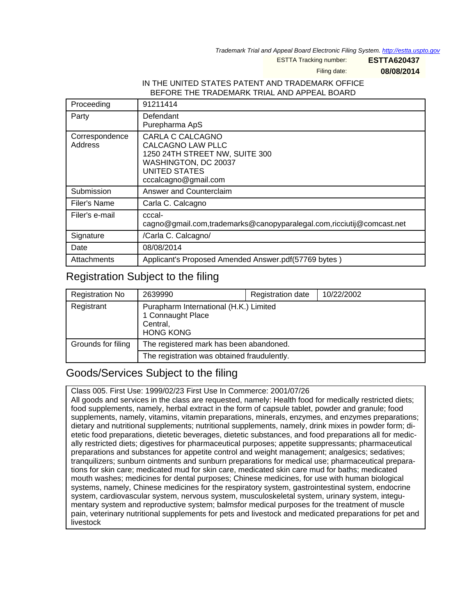Trademark Trial and Appeal Board Electronic Filing System. <http://estta.uspto.gov>

ESTTA Tracking number: **ESTTA620437**

Filing date: **08/08/2014**

#### IN THE UNITED STATES PATENT AND TRADEMARK OFFICE BEFORE THE TRADEMARK TRIAL AND APPEAL BOARD

| Proceeding                | 91211414                                                                                                                                               |  |  |
|---------------------------|--------------------------------------------------------------------------------------------------------------------------------------------------------|--|--|
| Party                     | Defendant<br>Purepharma ApS                                                                                                                            |  |  |
| Correspondence<br>Address | CARLA C CALCAGNO<br><b>CALCAGNO LAW PLLC</b><br>1250 24TH STREET NW, SUITE 300<br>WASHINGTON, DC 20037<br><b>UNITED STATES</b><br>cccalcagno@gmail.com |  |  |
| Submission                | Answer and Counterclaim                                                                                                                                |  |  |
| Filer's Name              | Carla C. Calcagno                                                                                                                                      |  |  |
| Filer's e-mail            | cccal-<br>cagno@gmail.com,trademarks@canopyparalegal.com,ricciutij@comcast.net                                                                         |  |  |
| Signature                 | /Carla C. Calcagno/                                                                                                                                    |  |  |
| Date                      | 08/08/2014                                                                                                                                             |  |  |
| Attachments               | Applicant's Proposed Amended Answer.pdf(57769 bytes)                                                                                                   |  |  |

### Registration Subject to the filing

| <b>Registration No</b> | 2639990                                                                                     | Registration date | 10/22/2002 |  |
|------------------------|---------------------------------------------------------------------------------------------|-------------------|------------|--|
| Registrant             | Purapharm International (H.K.) Limited<br>1 Connaught Place<br>Central,<br><b>HONG KONG</b> |                   |            |  |
| Grounds for filing     | The registered mark has been abandoned.                                                     |                   |            |  |
|                        | The registration was obtained fraudulently.                                                 |                   |            |  |

### Goods/Services Subject to the filing

Class 005. First Use: 1999/02/23 First Use In Commerce: 2001/07/26

All goods and services in the class are requested, namely: Health food for medically restricted diets; food supplements, namely, herbal extract in the form of capsule tablet, powder and granule; food supplements, namely, vitamins, vitamin preparations, minerals, enzymes, and enzymes preparations; dietary and nutritional supplements; nutritional supplements, namely, drink mixes in powder form; dietetic food preparations, dietetic beverages, dietetic substances, and food preparations all for medically restricted diets; digestives for pharmaceutical purposes; appetite suppressants; pharmaceutical preparations and substances for appetite control and weight management; analgesics; sedatives; tranquilizers; sunburn ointments and sunburn preparations for medical use; pharmaceutical preparations for skin care; medicated mud for skin care, medicated skin care mud for baths; medicated mouth washes; medicines for dental purposes; Chinese medicines, for use with human biological systems, namely, Chinese medicines for the respiratory system, gastrointestinal system, endocrine system, cardiovascular system, nervous system, musculoskeletal system, urinary system, integumentary system and reproductive system; balmsfor medical purposes for the treatment of muscle pain, veterinary nutritional supplements for pets and livestock and medicated preparations for pet and livestock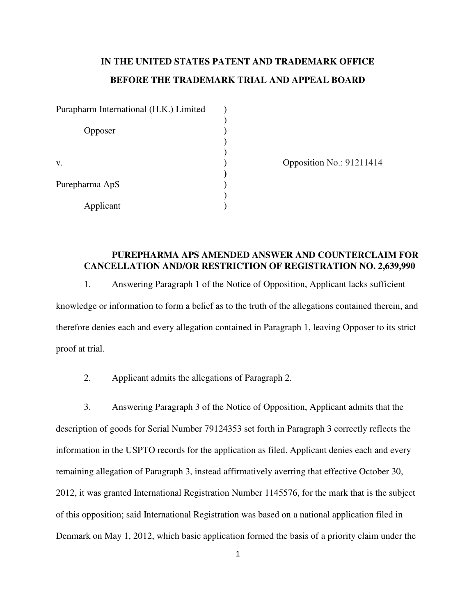### **IN THE UNITED STATES PATENT AND TRADEMARK OFFICE BEFORE THE TRADEMARK TRIAL AND APPEAL BOARD**

Purapharm International (H.K.) Limited  $\qquad$  ) ) Opposer ) ) ) v. 0pposition No.: 91211414  **)**  Purepharma ApS ) ) Applicant )

#### **PUREPHARMA APS AMENDED ANSWER AND COUNTERCLAIM FOR CANCELLATION AND/OR RESTRICTION OF REGISTRATION NO. 2,639,990**

1. Answering Paragraph 1 of the Notice of Opposition, Applicant lacks sufficient knowledge or information to form a belief as to the truth of the allegations contained therein, and therefore denies each and every allegation contained in Paragraph 1, leaving Opposer to its strict proof at trial.

2. Applicant admits the allegations of Paragraph 2.

3. Answering Paragraph 3 of the Notice of Opposition, Applicant admits that the description of goods for Serial Number 79124353 set forth in Paragraph 3 correctly reflects the information in the USPTO records for the application as filed. Applicant denies each and every remaining allegation of Paragraph 3, instead affirmatively averring that effective October 30, 2012, it was granted International Registration Number 1145576, for the mark that is the subject of this opposition; said International Registration was based on a national application filed in Denmark on May 1, 2012, which basic application formed the basis of a priority claim under the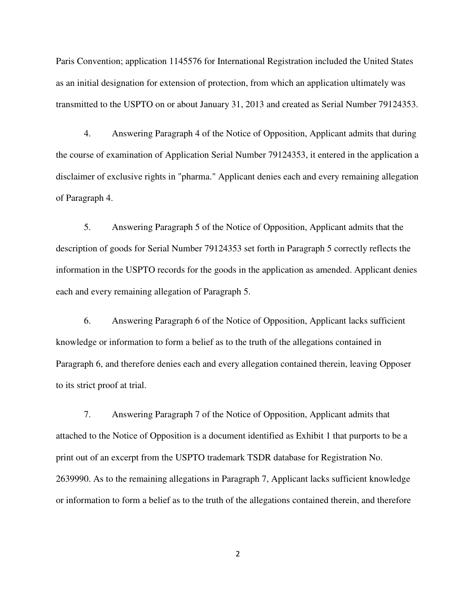Paris Convention; application 1145576 for International Registration included the United States as an initial designation for extension of protection, from which an application ultimately was transmitted to the USPTO on or about January 31, 2013 and created as Serial Number 79124353.

4. Answering Paragraph 4 of the Notice of Opposition, Applicant admits that during the course of examination of Application Serial Number 79124353, it entered in the application a disclaimer of exclusive rights in "pharma." Applicant denies each and every remaining allegation of Paragraph 4.

5. Answering Paragraph 5 of the Notice of Opposition, Applicant admits that the description of goods for Serial Number 79124353 set forth in Paragraph 5 correctly reflects the information in the USPTO records for the goods in the application as amended. Applicant denies each and every remaining allegation of Paragraph 5.

6. Answering Paragraph 6 of the Notice of Opposition, Applicant lacks sufficient knowledge or information to form a belief as to the truth of the allegations contained in Paragraph 6, and therefore denies each and every allegation contained therein, leaving Opposer to its strict proof at trial.

7. Answering Paragraph 7 of the Notice of Opposition, Applicant admits that attached to the Notice of Opposition is a document identified as Exhibit 1 that purports to be a print out of an excerpt from the USPTO trademark TSDR database for Registration No. 2639990. As to the remaining allegations in Paragraph 7, Applicant lacks sufficient knowledge or information to form a belief as to the truth of the allegations contained therein, and therefore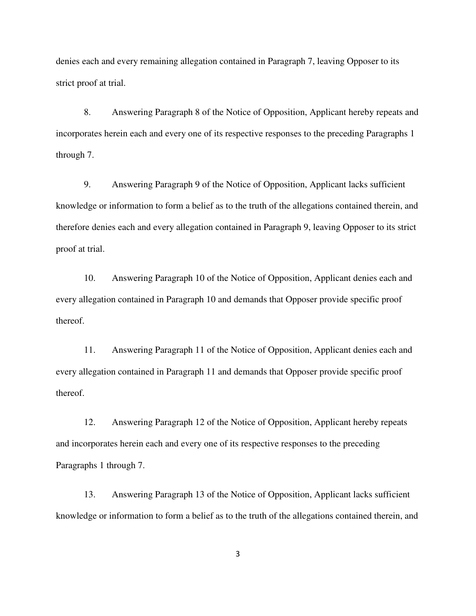denies each and every remaining allegation contained in Paragraph 7, leaving Opposer to its strict proof at trial.

8. Answering Paragraph 8 of the Notice of Opposition, Applicant hereby repeats and incorporates herein each and every one of its respective responses to the preceding Paragraphs 1 through 7.

9. Answering Paragraph 9 of the Notice of Opposition, Applicant lacks sufficient knowledge or information to form a belief as to the truth of the allegations contained therein, and therefore denies each and every allegation contained in Paragraph 9, leaving Opposer to its strict proof at trial.

10. Answering Paragraph 10 of the Notice of Opposition, Applicant denies each and every allegation contained in Paragraph 10 and demands that Opposer provide specific proof thereof.

11. Answering Paragraph 11 of the Notice of Opposition, Applicant denies each and every allegation contained in Paragraph 11 and demands that Opposer provide specific proof thereof.

12. Answering Paragraph 12 of the Notice of Opposition, Applicant hereby repeats and incorporates herein each and every one of its respective responses to the preceding Paragraphs 1 through 7.

13. Answering Paragraph 13 of the Notice of Opposition, Applicant lacks sufficient knowledge or information to form a belief as to the truth of the allegations contained therein, and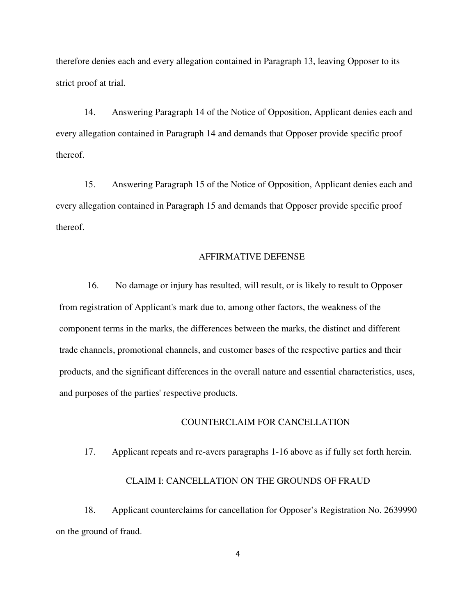therefore denies each and every allegation contained in Paragraph 13, leaving Opposer to its strict proof at trial.

14. Answering Paragraph 14 of the Notice of Opposition, Applicant denies each and every allegation contained in Paragraph 14 and demands that Opposer provide specific proof thereof.

15. Answering Paragraph 15 of the Notice of Opposition, Applicant denies each and every allegation contained in Paragraph 15 and demands that Opposer provide specific proof thereof.

#### AFFIRMATIVE DEFENSE

16. No damage or injury has resulted, will result, or is likely to result to Opposer from registration of Applicant's mark due to, among other factors, the weakness of the component terms in the marks, the differences between the marks, the distinct and different trade channels, promotional channels, and customer bases of the respective parties and their products, and the significant differences in the overall nature and essential characteristics, uses, and purposes of the parties' respective products.

#### COUNTERCLAIM FOR CANCELLATION

17. Applicant repeats and re-avers paragraphs 1-16 above as if fully set forth herein.

#### CLAIM I: CANCELLATION ON THE GROUNDS OF FRAUD

18. Applicant counterclaims for cancellation for Opposer's Registration No. 2639990 on the ground of fraud.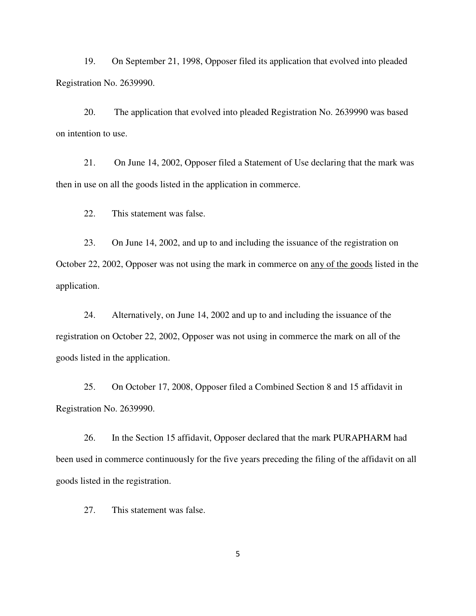19. On September 21, 1998, Opposer filed its application that evolved into pleaded Registration No. 2639990.

20. The application that evolved into pleaded Registration No. 2639990 was based on intention to use.

21. On June 14, 2002, Opposer filed a Statement of Use declaring that the mark was then in use on all the goods listed in the application in commerce.

22. This statement was false.

23. On June 14, 2002, and up to and including the issuance of the registration on October 22, 2002, Opposer was not using the mark in commerce on any of the goods listed in the application.

24. Alternatively, on June 14, 2002 and up to and including the issuance of the registration on October 22, 2002, Opposer was not using in commerce the mark on all of the goods listed in the application.

25. On October 17, 2008, Opposer filed a Combined Section 8 and 15 affidavit in Registration No. 2639990.

26. In the Section 15 affidavit, Opposer declared that the mark PURAPHARM had been used in commerce continuously for the five years preceding the filing of the affidavit on all goods listed in the registration.

27. This statement was false.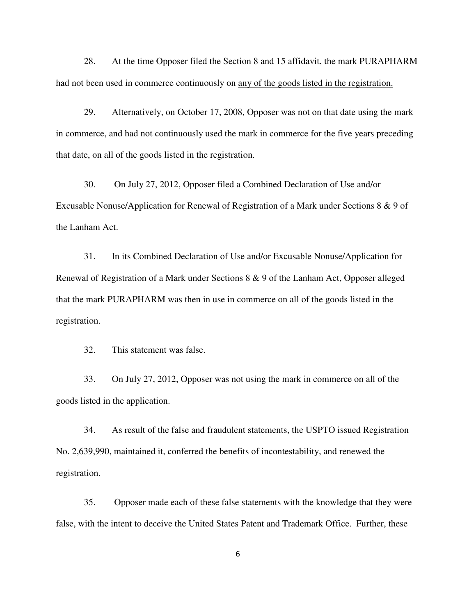28. At the time Opposer filed the Section 8 and 15 affidavit, the mark PURAPHARM had not been used in commerce continuously on any of the goods listed in the registration.

29. Alternatively, on October 17, 2008, Opposer was not on that date using the mark in commerce, and had not continuously used the mark in commerce for the five years preceding that date, on all of the goods listed in the registration.

30. On July 27, 2012, Opposer filed a Combined Declaration of Use and/or Excusable Nonuse/Application for Renewal of Registration of a Mark under Sections 8 & 9 of the Lanham Act.

31. In its Combined Declaration of Use and/or Excusable Nonuse/Application for Renewal of Registration of a Mark under Sections 8 & 9 of the Lanham Act, Opposer alleged that the mark PURAPHARM was then in use in commerce on all of the goods listed in the registration.

32. This statement was false.

33. On July 27, 2012, Opposer was not using the mark in commerce on all of the goods listed in the application.

34. As result of the false and fraudulent statements, the USPTO issued Registration No. 2,639,990, maintained it, conferred the benefits of incontestability, and renewed the registration.

35. Opposer made each of these false statements with the knowledge that they were false, with the intent to deceive the United States Patent and Trademark Office. Further, these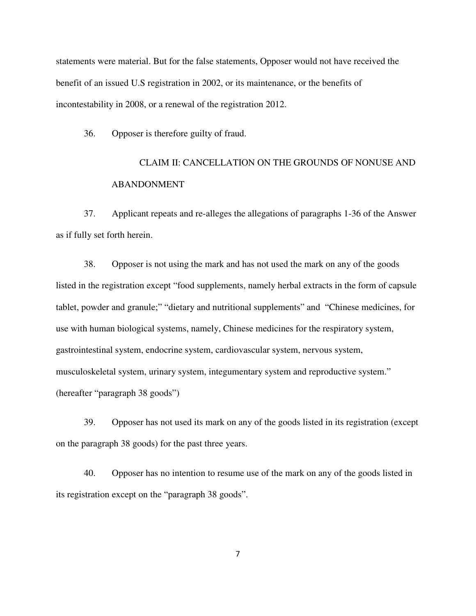statements were material. But for the false statements, Opposer would not have received the benefit of an issued U.S registration in 2002, or its maintenance, or the benefits of incontestability in 2008, or a renewal of the registration 2012.

36. Opposer is therefore guilty of fraud.

## CLAIM II: CANCELLATION ON THE GROUNDS OF NONUSE AND ABANDONMENT

37. Applicant repeats and re-alleges the allegations of paragraphs 1-36 of the Answer as if fully set forth herein.

38. Opposer is not using the mark and has not used the mark on any of the goods listed in the registration except "food supplements, namely herbal extracts in the form of capsule tablet, powder and granule;" "dietary and nutritional supplements" and "Chinese medicines, for use with human biological systems, namely, Chinese medicines for the respiratory system, gastrointestinal system, endocrine system, cardiovascular system, nervous system, musculoskeletal system, urinary system, integumentary system and reproductive system." (hereafter "paragraph 38 goods")

39. Opposer has not used its mark on any of the goods listed in its registration (except on the paragraph 38 goods) for the past three years.

40. Opposer has no intention to resume use of the mark on any of the goods listed in its registration except on the "paragraph 38 goods".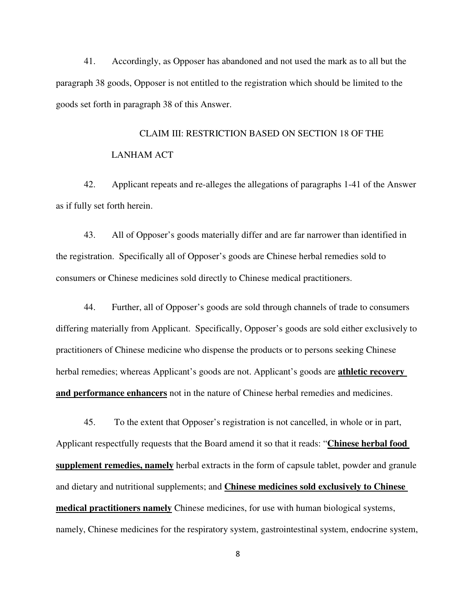41. Accordingly, as Opposer has abandoned and not used the mark as to all but the paragraph 38 goods, Opposer is not entitled to the registration which should be limited to the goods set forth in paragraph 38 of this Answer.

# CLAIM III: RESTRICTION BASED ON SECTION 18 OF THE LANHAM ACT

42. Applicant repeats and re-alleges the allegations of paragraphs 1-41 of the Answer as if fully set forth herein.

43. All of Opposer's goods materially differ and are far narrower than identified in the registration. Specifically all of Opposer's goods are Chinese herbal remedies sold to consumers or Chinese medicines sold directly to Chinese medical practitioners.

44. Further, all of Opposer's goods are sold through channels of trade to consumers differing materially from Applicant. Specifically, Opposer's goods are sold either exclusively to practitioners of Chinese medicine who dispense the products or to persons seeking Chinese herbal remedies; whereas Applicant's goods are not. Applicant's goods are **athletic recovery and performance enhancers** not in the nature of Chinese herbal remedies and medicines.

45. To the extent that Opposer's registration is not cancelled, in whole or in part, Applicant respectfully requests that the Board amend it so that it reads: "**Chinese herbal food supplement remedies, namely** herbal extracts in the form of capsule tablet, powder and granule and dietary and nutritional supplements; and **Chinese medicines sold exclusively to Chinese medical practitioners namely** Chinese medicines, for use with human biological systems, namely, Chinese medicines for the respiratory system, gastrointestinal system, endocrine system,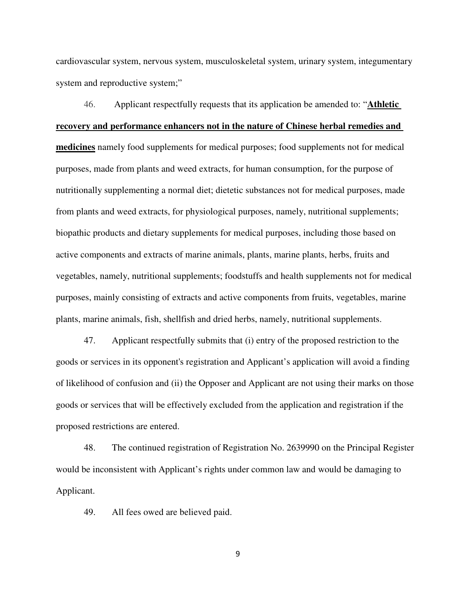cardiovascular system, nervous system, musculoskeletal system, urinary system, integumentary system and reproductive system;"

46. Applicant respectfully requests that its application be amended to: "**Athletic recovery and performance enhancers not in the nature of Chinese herbal remedies and medicines** namely food supplements for medical purposes; food supplements not for medical purposes, made from plants and weed extracts, for human consumption, for the purpose of nutritionally supplementing a normal diet; dietetic substances not for medical purposes, made from plants and weed extracts, for physiological purposes, namely, nutritional supplements; biopathic products and dietary supplements for medical purposes, including those based on active components and extracts of marine animals, plants, marine plants, herbs, fruits and vegetables, namely, nutritional supplements; foodstuffs and health supplements not for medical purposes, mainly consisting of extracts and active components from fruits, vegetables, marine plants, marine animals, fish, shellfish and dried herbs, namely, nutritional supplements.

47. Applicant respectfully submits that (i) entry of the proposed restriction to the goods or services in its opponent's registration and Applicant's application will avoid a finding of likelihood of confusion and (ii) the Opposer and Applicant are not using their marks on those goods or services that will be effectively excluded from the application and registration if the proposed restrictions are entered.

48. The continued registration of Registration No. 2639990 on the Principal Register would be inconsistent with Applicant's rights under common law and would be damaging to Applicant.

49. All fees owed are believed paid.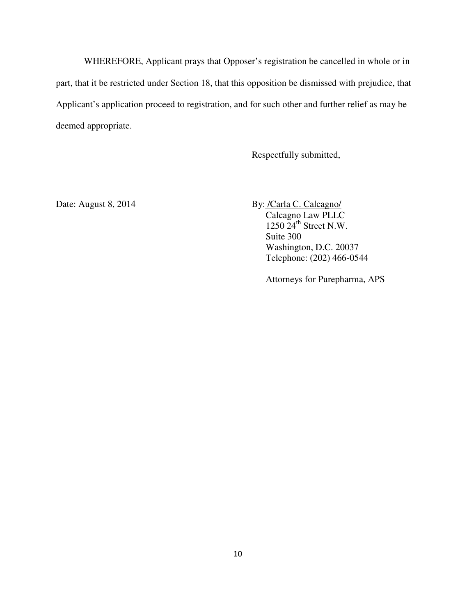WHEREFORE, Applicant prays that Opposer's registration be cancelled in whole or in part, that it be restricted under Section 18, that this opposition be dismissed with prejudice, that Applicant's application proceed to registration, and for such other and further relief as may be deemed appropriate.

Respectfully submitted,

Date: August 8, 2014 By: /Carla C. Calcagno/ Calcagno Law PLLC  $1250$   $24^{\text{th}}$  Street N.W. Suite 300 Washington, D.C. 20037 Telephone: (202) 466-0544

Attorneys for Purepharma, APS